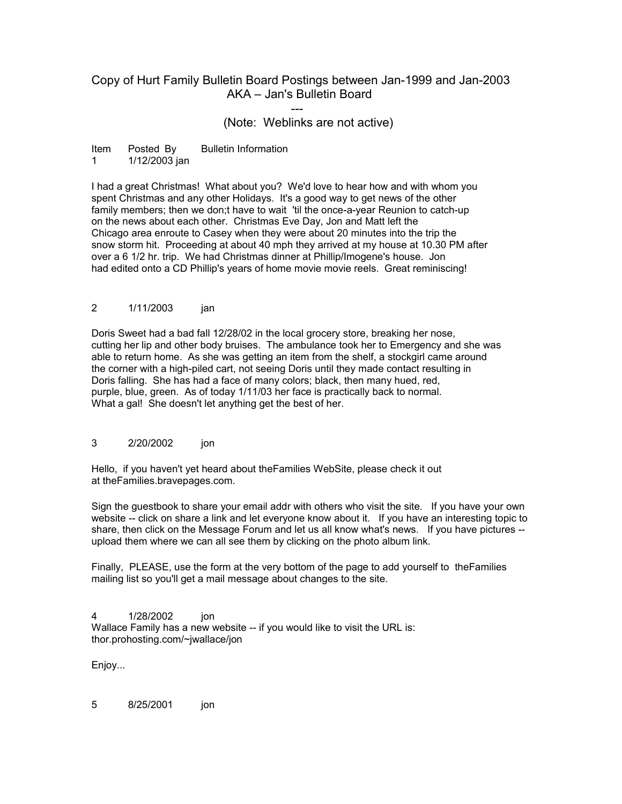# Copy of Hurt Family Bulletin Board Postings between Jan-1999 and Jan-2003 AKA – Jan's Bulletin Board

(Note: Weblinks are not active)

Item Posted By Bulletin Information 1 1/12/2003 jan

---

I had a great Christmas! What about you? We'd love to hear how and with whom you spent Christmas and any other Holidays. It's a good way to get news of the other family members; then we don;t have to wait 'til the once-a-year Reunion to catch-up on the news about each other. Christmas Eve Day, Jon and Matt left the Chicago area enroute to Casey when they were about 20 minutes into the trip the snow storm hit. Proceeding at about 40 mph they arrived at my house at 10.30 PM after over a 6 1/2 hr. trip. We had Christmas dinner at Phillip/Imogene's house. Jon had edited onto a CD Phillip's years of home movie movie reels. Great reminiscing!

## 2 1/11/2003 jan

Doris Sweet had a bad fall 12/28/02 in the local grocery store, breaking her nose, cutting her lip and other body bruises. The ambulance took her to Emergency and she was able to return home. As she was getting an item from the shelf, a stockgirl came around the corner with a high-piled cart, not seeing Doris until they made contact resulting in Doris falling. She has had a face of many colors; black, then many hued, red, purple, blue, green. As of today 1/11/03 her face is practically back to normal. What a gal! She doesn't let anything get the best of her.

### 3 2/20/2002 ion

Hello, if you haven't yet heard about theFamilies WebSite, please check it out at theFamilies.bravepages.com.

Sign the guestbook to share your email addr with others who visit the site. If you have your own website -- click on share a link and let everyone know about it. If you have an interesting topic to share, then click on the Message Forum and let us all know what's news. If you have pictures - upload them where we can all see them by clicking on the photo album link.

Finally, PLEASE, use the form at the very bottom of the page to add yourself to theFamilies mailing list so you'll get a mail message about changes to the site.

4 1/28/2002 ion Wallace Family has a new website -- if you would like to visit the URL is: thor.prohosting.com/~jwallace/jon

Enjoy...

5 8/25/2001 jon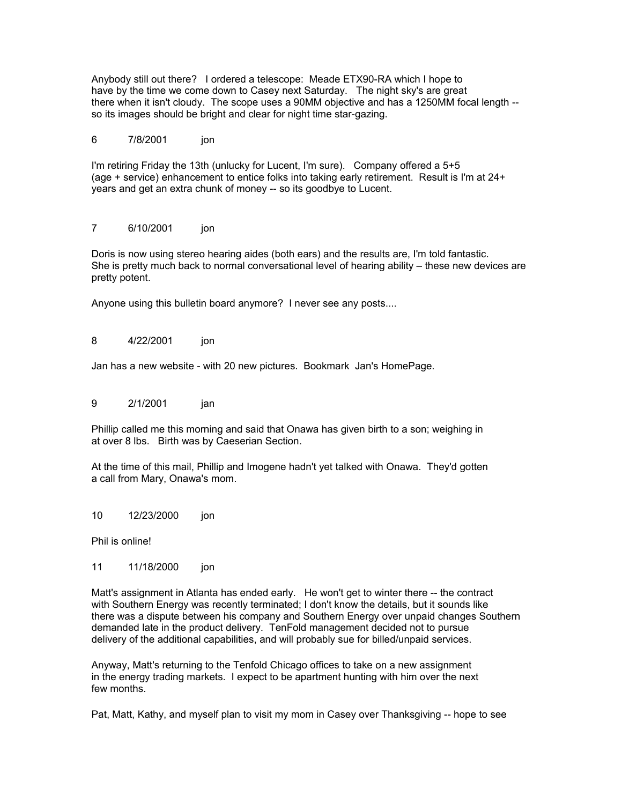Anybody still out there? I ordered a telescope: Meade ETX90-RA which I hope to have by the time we come down to Casey next Saturday. The night sky's are great there when it isn't cloudy. The scope uses a 90MM objective and has a 1250MM focal length - so its images should be bright and clear for night time star-gazing.

## 6 7/8/2001 ion

I'm retiring Friday the 13th (unlucky for Lucent, I'm sure). Company offered a 5+5 (age + service) enhancement to entice folks into taking early retirement. Result is I'm at 24+ years and get an extra chunk of money -- so its goodbye to Lucent.

## 7 6/10/2001 jon

Doris is now using stereo hearing aides (both ears) and the results are, I'm told fantastic. She is pretty much back to normal conversational level of hearing ability – these new devices are pretty potent.

Anyone using this bulletin board anymore? I never see any posts....

## 8 4/22/2001 jon

Jan has a new website - with 20 new pictures. Bookmark Jan's HomePage.

## 9 2/1/2001 jan

Phillip called me this morning and said that Onawa has given birth to a son; weighing in at over 8 lbs. Birth was by Caeserian Section.

At the time of this mail, Phillip and Imogene hadn't yet talked with Onawa. They'd gotten a call from Mary, Onawa's mom.

10 12/23/2000 jon

Phil is online!

11 11/18/2000 jon

Matt's assignment in Atlanta has ended early. He won't get to winter there -- the contract with Southern Energy was recently terminated; I don't know the details, but it sounds like there was a dispute between his company and Southern Energy over unpaid changes Southern demanded late in the product delivery. TenFold management decided not to pursue delivery of the additional capabilities, and will probably sue for billed/unpaid services.

Anyway, Matt's returning to the Tenfold Chicago offices to take on a new assignment in the energy trading markets. I expect to be apartment hunting with him over the next few months.

Pat, Matt, Kathy, and myself plan to visit my mom in Casey over Thanksgiving -- hope to see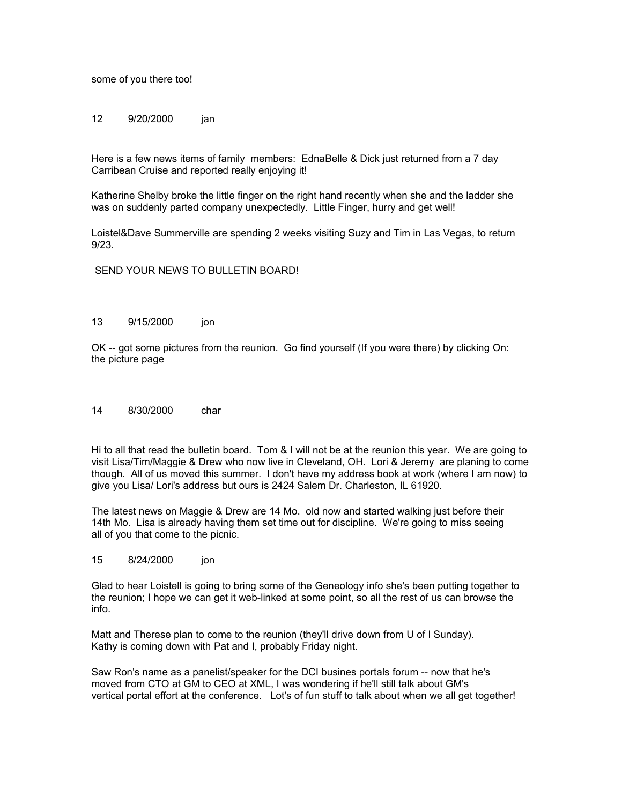some of you there too!

12 9/20/2000 jan

Here is a few news items of family members: EdnaBelle & Dick just returned from a 7 day Carribean Cruise and reported really enjoying it!

Katherine Shelby broke the little finger on the right hand recently when she and the ladder she was on suddenly parted company unexpectedly. Little Finger, hurry and get well!

Loistel&Dave Summerville are spending 2 weeks visiting Suzy and Tim in Las Vegas, to return 9/23.

SEND YOUR NEWS TO BULLETIN BOARD!

#### 13 9/15/2000 ion

OK -- got some pictures from the reunion. Go find yourself (If you were there) by clicking On: the picture page

#### 14 8/30/2000 char

Hi to all that read the bulletin board. Tom & I will not be at the reunion this year. We are going to visit Lisa/Tim/Maggie & Drew who now live in Cleveland, OH. Lori & Jeremy are planing to come though. All of us moved this summer. I don't have my address book at work (where I am now) to give you Lisa/ Lori's address but ours is 2424 Salem Dr. Charleston, IL 61920.

The latest news on Maggie & Drew are 14 Mo. old now and started walking just before their 14th Mo. Lisa is already having them set time out for discipline. We're going to miss seeing all of you that come to the picnic.

### 15 8/24/2000 ion

Glad to hear Loistell is going to bring some of the Geneology info she's been putting together to the reunion; I hope we can get it web-linked at some point, so all the rest of us can browse the info.

Matt and Therese plan to come to the reunion (they'll drive down from U of I Sunday). Kathy is coming down with Pat and I, probably Friday night.

Saw Ron's name as a panelist/speaker for the DCI busines portals forum -- now that he's moved from CTO at GM to CEO at XML, I was wondering if he'll still talk about GM's vertical portal effort at the conference. Lot's of fun stuff to talk about when we all get together!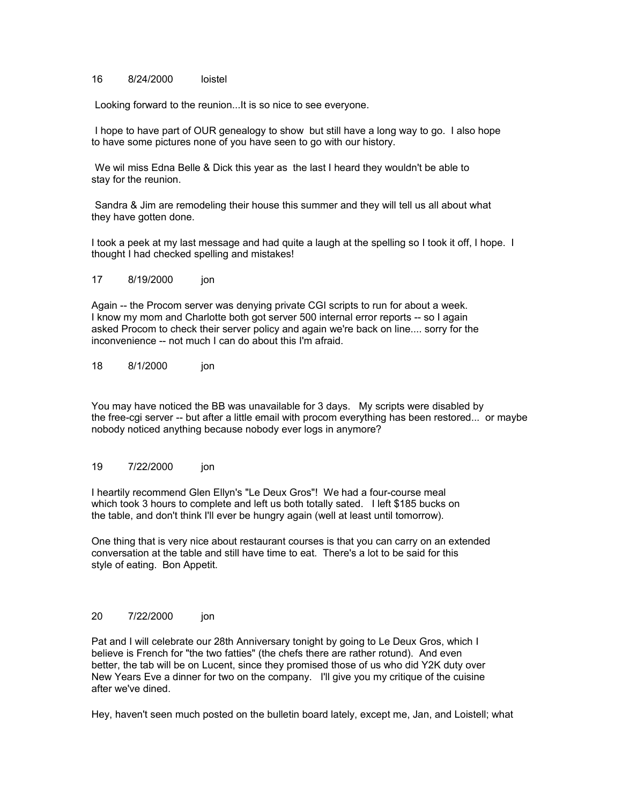#### 16 8/24/2000 loistel

Looking forward to the reunion...It is so nice to see everyone.

I hope to have part of OUR genealogy to show but still have a long way to go. I also hope to have some pictures none of you have seen to go with our history.

We wil miss Edna Belle & Dick this year as the last I heard they wouldn't be able to stay for the reunion.

Sandra & Jim are remodeling their house this summer and they will tell us all about what they have gotten done.

I took a peek at my last message and had quite a laugh at the spelling so I took it off, I hope. I thought I had checked spelling and mistakes!

17 8/19/2000 jon

Again -- the Procom server was denying private CGI scripts to run for about a week. I know my mom and Charlotte both got server 500 internal error reports -- so I again asked Procom to check their server policy and again we're back on line.... sorry for the inconvenience -- not much I can do about this I'm afraid.

18 8/1/2000 jon

You may have noticed the BB was unavailable for 3 days. My scripts were disabled by the free-cgi server -- but after a little email with procom everything has been restored... or maybe nobody noticed anything because nobody ever logs in anymore?

#### 19 7/22/2000 jon

I heartily recommend Glen Ellyn's "Le Deux Gros"! We had a four-course meal which took 3 hours to complete and left us both totally sated. I left \$185 bucks on the table, and don't think I'll ever be hungry again (well at least until tomorrow).

One thing that is very nice about restaurant courses is that you can carry on an extended conversation at the table and still have time to eat. There's a lot to be said for this style of eating. Bon Appetit.

#### 20 7/22/2000 ion

Pat and I will celebrate our 28th Anniversary tonight by going to Le Deux Gros, which I believe is French for "the two fatties" (the chefs there are rather rotund). And even better, the tab will be on Lucent, since they promised those of us who did Y2K duty over New Years Eve a dinner for two on the company. I'll give you my critique of the cuisine after we've dined.

Hey, haven't seen much posted on the bulletin board lately, except me, Jan, and Loistell; what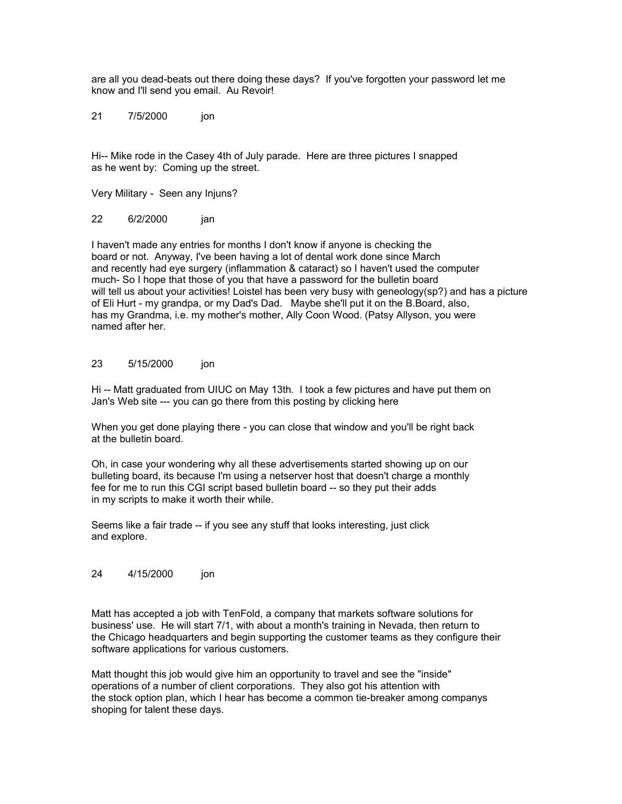are all you dead-beats out there doing these days? If you've forgotten your password let me know and I'll send you email. Au Revoir!

21 7/5/2000 jon

Hi-- Mike rode in the Casey 4th of July parade. Here are three pictures I snapped as he went by: Coming up the street.

Very Military - Seen any Injuns?

22 6/2/2000 jan

I haven't made any entries for months I don't know if anyone is checking the board or not. Anyway, I've been having a lot of dental work done since March and recently had eye surgery (inflammation & cataract) so I haven't used the computer much- So I hope that those of you that have a password for the bulletin board will tell us about your activities! Loistel has been very busy with geneology(sp?) and has a picture of Eli Hurt - my grandpa, or my Dad's Dad. Maybe she'll put it on the B.Board, also, has my Grandma, i.e. my mother's mother, Ally Coon Wood. (Patsy Allyson, you were named after her.

## 23 5/15/2000 jon

Hi -- Matt graduated from UIUC on May 13th. I took a few pictures and have put them on Jan's Web site --- you can go there from this posting by clicking here

When you get done playing there - you can close that window and you'll be right back at the bulletin board.

Oh, in case your wondering why all these advertisements started showing up on our bulleting board, its because I'm using a netserver host that doesn't charge a monthly fee for me to run this CGI script based bulletin board -- so they put their adds in my scripts to make it worth their while.

Seems like a fair trade -- if you see any stuff that looks interesting, just click and explore.

### 24 4/15/2000 jon

Matt has accepted a job with TenFold, a company that markets software solutions for business' use. He will start 7/1, with about a month's training in Nevada, then return to the Chicago headquarters and begin supporting the customer teams as they configure their software applications for various customers.

Matt thought this job would give him an opportunity to travel and see the "inside" operations of a number of client corporations. They also got his attention with the stock option plan, which I hear has become a common tie-breaker among companys shoping for talent these days.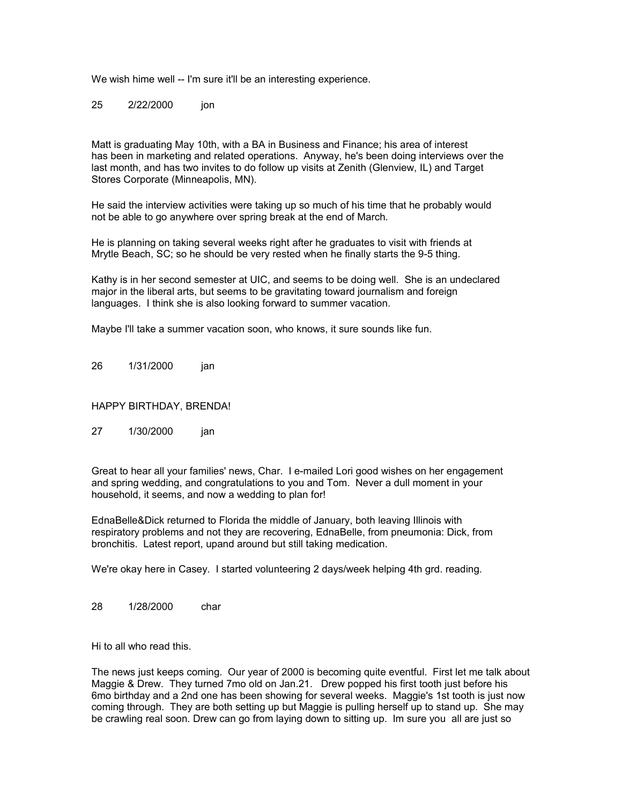We wish hime well -- I'm sure it'll be an interesting experience.

25 2/22/2000 ion

Matt is graduating May 10th, with a BA in Business and Finance; his area of interest has been in marketing and related operations. Anyway, he's been doing interviews over the last month, and has two invites to do follow up visits at Zenith (Glenview, IL) and Target Stores Corporate (Minneapolis, MN).

He said the interview activities were taking up so much of his time that he probably would not be able to go anywhere over spring break at the end of March.

He is planning on taking several weeks right after he graduates to visit with friends at Mrytle Beach, SC; so he should be very rested when he finally starts the 9-5 thing.

Kathy is in her second semester at UIC, and seems to be doing well. She is an undeclared major in the liberal arts, but seems to be gravitating toward journalism and foreign languages. I think she is also looking forward to summer vacation.

Maybe I'll take a summer vacation soon, who knows, it sure sounds like fun.

26 1/31/2000 jan

HAPPY BIRTHDAY, BRENDA!

27 1/30/2000 jan

Great to hear all your families' news, Char. I e-mailed Lori good wishes on her engagement and spring wedding, and congratulations to you and Tom. Never a dull moment in your household, it seems, and now a wedding to plan for!

EdnaBelle&Dick returned to Florida the middle of January, both leaving Illinois with respiratory problems and not they are recovering, EdnaBelle, from pneumonia: Dick, from bronchitis. Latest report, upand around but still taking medication.

We're okay here in Casey. I started volunteering 2 days/week helping 4th grd. reading.

28 1/28/2000 char

Hi to all who read this.

The news just keeps coming. Our year of 2000 is becoming quite eventful. First let me talk about Maggie & Drew. They turned 7mo old on Jan.21. Drew popped his first tooth just before his 6mo birthday and a 2nd one has been showing for several weeks. Maggie's 1st tooth is just now coming through. They are both setting up but Maggie is pulling herself up to stand up. She may be crawling real soon. Drew can go from laying down to sitting up. Im sure you all are just so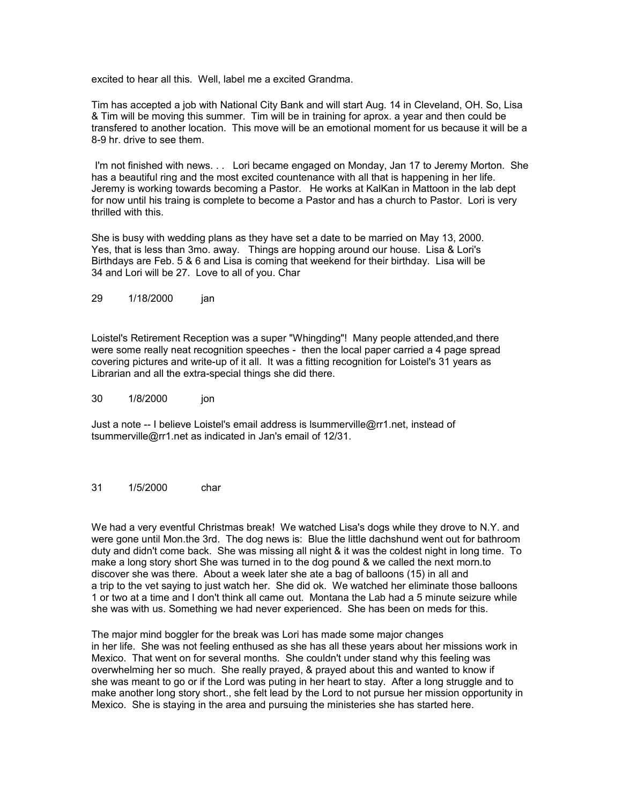excited to hear all this. Well, label me a excited Grandma.

Tim has accepted a job with National City Bank and will start Aug. 14 in Cleveland, OH. So, Lisa & Tim will be moving this summer. Tim will be in training for aprox. a year and then could be transfered to another location. This move will be an emotional moment for us because it will be a 8-9 hr. drive to see them.

I'm not finished with news. . . Lori became engaged on Monday, Jan 17 to Jeremy Morton. She has a beautiful ring and the most excited countenance with all that is happening in her life. Jeremy is working towards becoming a Pastor. He works at KalKan in Mattoon in the lab dept for now until his traing is complete to become a Pastor and has a church to Pastor. Lori is very thrilled with this.

She is busy with wedding plans as they have set a date to be married on May 13, 2000. Yes, that is less than 3mo. away. Things are hopping around our house. Lisa & Lori's Birthdays are Feb. 5 & 6 and Lisa is coming that weekend for their birthday. Lisa will be 34 and Lori will be 27. Love to all of you. Char

29 1/18/2000 jan

Loistel's Retirement Reception was a super "Whingding"! Many people attended,and there were some really neat recognition speeches - then the local paper carried a 4 page spread covering pictures and write-up of it all. It was a fitting recognition for Loistel's 31 years as Librarian and all the extra-special things she did there.

30 1/8/2000 jon

Just a note -- I believe Loistel's email address is lsummerville@rr1.net, instead of tsummerville@rr1.net as indicated in Jan's email of 12/31.

## 31 1/5/2000 char

We had a very eventful Christmas break! We watched Lisa's dogs while they drove to N.Y. and were gone until Mon.the 3rd. The dog news is: Blue the little dachshund went out for bathroom duty and didn't come back. She was missing all night & it was the coldest night in long time. To make a long story short She was turned in to the dog pound & we called the next morn.to discover she was there. About a week later she ate a bag of balloons (15) in all and a trip to the vet saying to just watch her. She did ok. We watched her eliminate those balloons 1 or two at a time and I don't think all came out. Montana the Lab had a 5 minute seizure while she was with us. Something we had never experienced. She has been on meds for this.

The major mind boggler for the break was Lori has made some major changes in her life. She was not feeling enthused as she has all these years about her missions work in Mexico. That went on for several months. She couldn't under stand why this feeling was overwhelming her so much. She really prayed, & prayed about this and wanted to know if she was meant to go or if the Lord was puting in her heart to stay. After a long struggle and to make another long story short., she felt lead by the Lord to not pursue her mission opportunity in Mexico. She is staying in the area and pursuing the ministeries she has started here.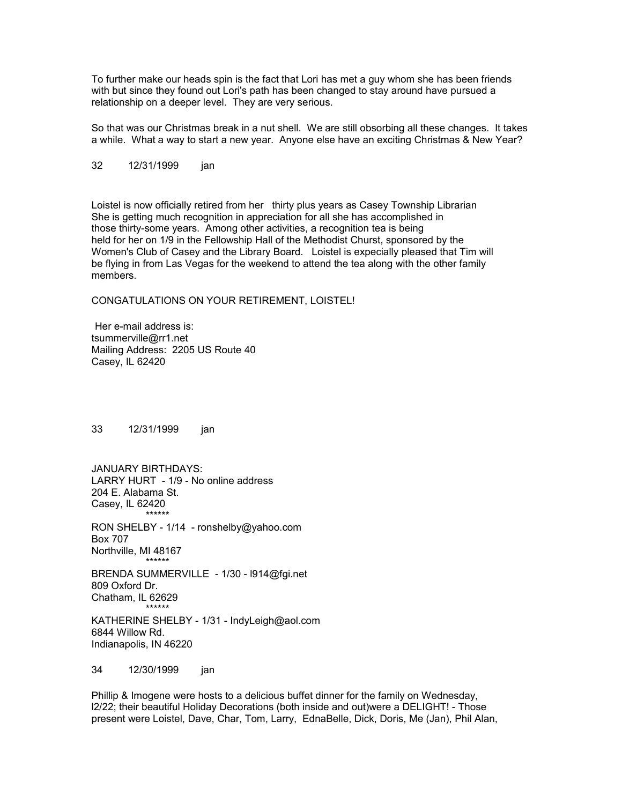To further make our heads spin is the fact that Lori has met a guy whom she has been friends with but since they found out Lori's path has been changed to stay around have pursued a relationship on a deeper level. They are very serious.

So that was our Christmas break in a nut shell. We are still obsorbing all these changes. It takes a while. What a way to start a new year. Anyone else have an exciting Christmas & New Year?

32 12/31/1999 ian

Loistel is now officially retired from her thirty plus years as Casey Township Librarian She is getting much recognition in appreciation for all she has accomplished in those thirty-some years. Among other activities, a recognition tea is being held for her on 1/9 in the Fellowship Hall of the Methodist Churst, sponsored by the Women's Club of Casey and the Library Board. Loistel is expecially pleased that Tim will be flying in from Las Vegas for the weekend to attend the tea along with the other family members.

CONGATULATIONS ON YOUR RETIREMENT, LOISTEL!

Her e-mail address is: tsummerville@rr1.net Mailing Address: 2205 US Route 40 Casey, IL 62420

33 12/31/1999 jan

JANUARY BIRTHDAYS: LARRY HURT - 1/9 - No online address 204 E. Alabama St. Casey, IL 62420 \*\*\*\*\*\*

RON SHELBY - 1/14 - ronshelby@yahoo.com Box 707 Northville, MI 48167

BRENDA SUMMERVILLE - 1/30 - l914@fgi.net 809 Oxford Dr. Chatham, IL 62629 \*\*\*\*\*\*

KATHERINE SHELBY - 1/31 - IndyLeigh@aol.com 6844 Willow Rd. Indianapolis, IN 46220

34 12/30/1999 jan

\*\*\*\*\*\*

Phillip & Imogene were hosts to a delicious buffet dinner for the family on Wednesday, l2/22; their beautiful Holiday Decorations (both inside and out)were a DELIGHT! - Those present were Loistel, Dave, Char, Tom, Larry, EdnaBelle, Dick, Doris, Me (Jan), Phil Alan,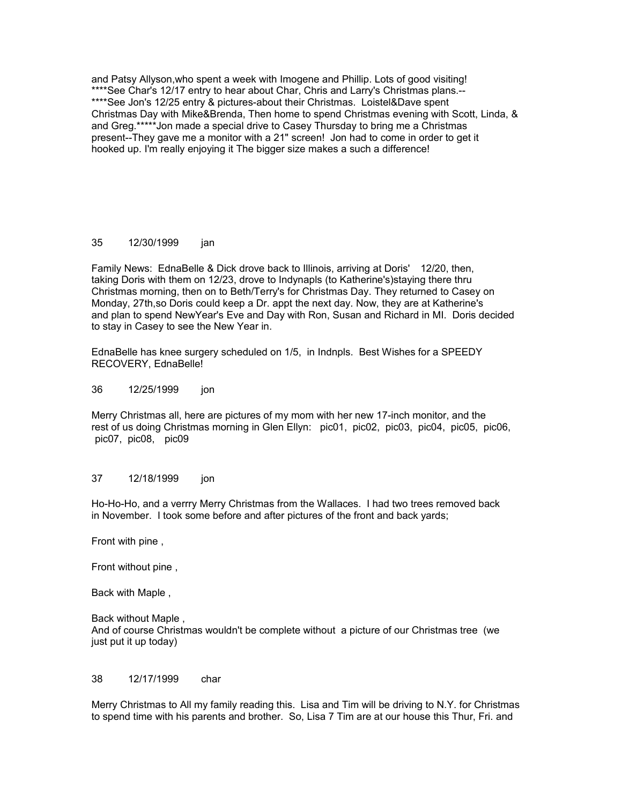and Patsy Allyson,who spent a week with Imogene and Phillip. Lots of good visiting! \*\*\*\*See Char's 12/17 entry to hear about Char, Chris and Larry's Christmas plans.-- \*\*\*\*See Jon's 12/25 entry & pictures-about their Christmas. Loistel&Dave spent Christmas Day with Mike&Brenda, Then home to spend Christmas evening with Scott, Linda, & and Greg.\*\*\*\*\*Jon made a special drive to Casey Thursday to bring me a Christmas present--They gave me a monitor with a 21" screen! Jon had to come in order to get it hooked up. I'm really enjoying it The bigger size makes a such a difference!

## 35 12/30/1999 jan

Family News: EdnaBelle & Dick drove back to Illinois, arriving at Doris' 12/20, then, taking Doris with them on 12/23, drove to Indynapls (to Katherine's)staying there thru Christmas morning, then on to Beth/Terry's for Christmas Day. They returned to Casey on Monday, 27th,so Doris could keep a Dr. appt the next day. Now, they are at Katherine's and plan to spend NewYear's Eve and Day with Ron, Susan and Richard in MI. Doris decided to stay in Casey to see the New Year in.

EdnaBelle has knee surgery scheduled on 1/5, in Indnpls. Best Wishes for a SPEEDY RECOVERY, EdnaBelle!

36 12/25/1999 jon

Merry Christmas all, here are pictures of my mom with her new 17-inch monitor, and the rest of us doing Christmas morning in Glen Ellyn: pic01, pic02, pic03, pic04, pic05, pic06, pic07, pic08, pic09

### 37 12/18/1999 jon

Ho-Ho-Ho, and a verrry Merry Christmas from the Wallaces. I had two trees removed back in November. I took some before and after pictures of the front and back yards;

Front with pine ,

Front without pine ,

Back with Maple ,

Back without Maple , And of course Christmas wouldn't be complete without a picture of our Christmas tree (we just put it up today)

### 38 12/17/1999 char

Merry Christmas to All my family reading this. Lisa and Tim will be driving to N.Y. for Christmas to spend time with his parents and brother. So, Lisa 7 Tim are at our house this Thur, Fri. and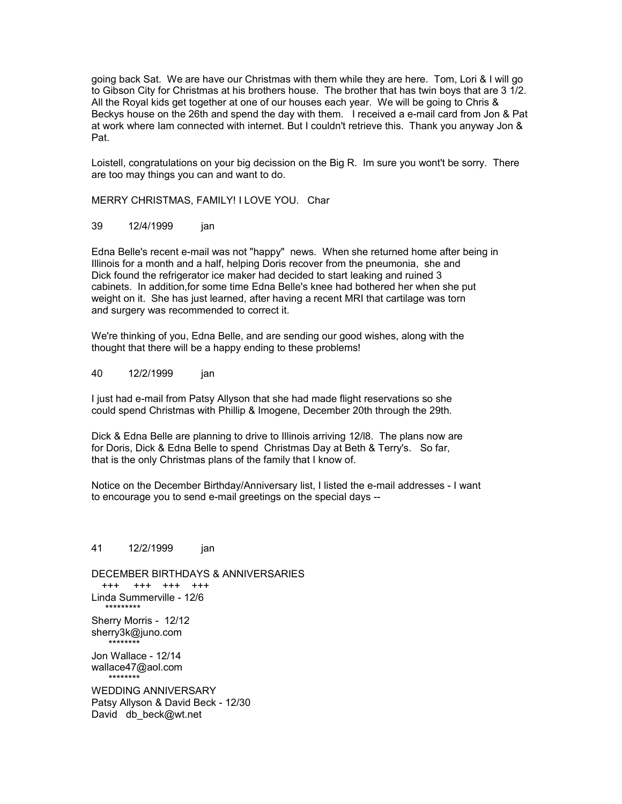going back Sat. We are have our Christmas with them while they are here. Tom, Lori & I will go to Gibson City for Christmas at his brothers house. The brother that has twin boys that are 3 1/2. All the Royal kids get together at one of our houses each year. We will be going to Chris & Beckys house on the 26th and spend the day with them. I received a e-mail card from Jon & Pat at work where Iam connected with internet. But I couldn't retrieve this. Thank you anyway Jon & Pat.

Loistell, congratulations on your big decission on the Big R. Im sure you wont't be sorry. There are too may things you can and want to do.

MERRY CHRISTMAS, FAMILY! I LOVE YOU. Char

#### 39 12/4/1999 jan

Edna Belle's recent e-mail was not "happy" news. When she returned home after being in Illinois for a month and a half, helping Doris recover from the pneumonia, she and Dick found the refrigerator ice maker had decided to start leaking and ruined 3 cabinets. In addition,for some time Edna Belle's knee had bothered her when she put weight on it. She has just learned, after having a recent MRI that cartilage was torn and surgery was recommended to correct it.

We're thinking of you, Edna Belle, and are sending our good wishes, along with the thought that there will be a happy ending to these problems!

#### 40 12/2/1999 jan

I just had e-mail from Patsy Allyson that she had made flight reservations so she could spend Christmas with Phillip & Imogene, December 20th through the 29th.

Dick & Edna Belle are planning to drive to Illinois arriving 12/l8. The plans now are for Doris, Dick & Edna Belle to spend Christmas Day at Beth & Terry's. So far, that is the only Christmas plans of the family that I know of.

Notice on the December Birthday/Anniversary list, I listed the e-mail addresses - I want to encourage you to send e-mail greetings on the special days --

41 12/2/1999 jan DECEMBER BIRTHDAYS & ANNIVERSARIES +++ +++ +++ +++ Linda Summerville - 12/6 \*\*\*\*\*\*\*\*\* Sherry Morris - 12/12 sherry3k@juno.com \*\*\*\*\*\*\*\* Jon Wallace - 12/14 wallace47@aol.com \*\*\*\*\*\*\*\* WEDDING ANNIVERSARY Patsy Allyson & David Beck - 12/30 David db beck@wt.net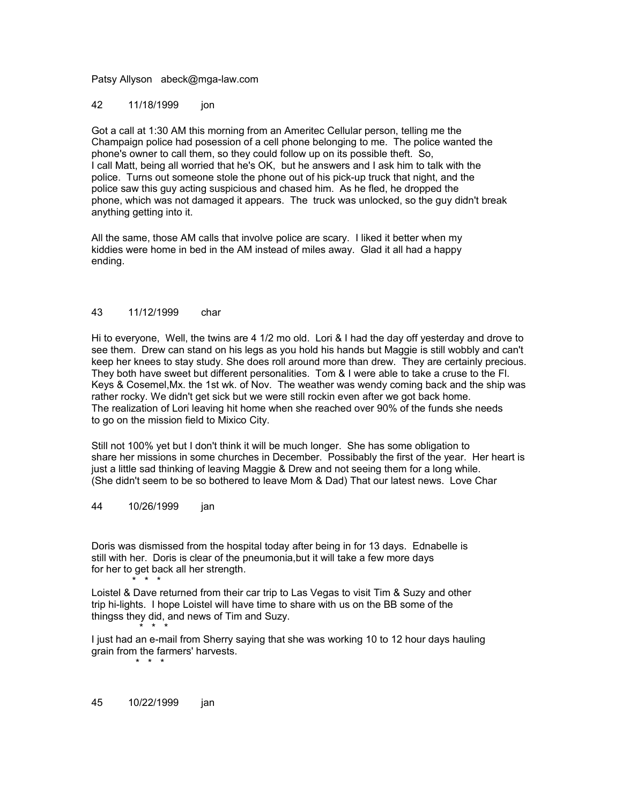#### Patsy Allyson abeck@mga-law.com

#### 42 11/18/1999 ion

Got a call at 1:30 AM this morning from an Ameritec Cellular person, telling me the Champaign police had posession of a cell phone belonging to me. The police wanted the phone's owner to call them, so they could follow up on its possible theft. So, I call Matt, being all worried that he's OK, but he answers and I ask him to talk with the police. Turns out someone stole the phone out of his pick-up truck that night, and the police saw this guy acting suspicious and chased him. As he fled, he dropped the phone, which was not damaged it appears. The truck was unlocked, so the guy didn't break anything getting into it.

All the same, those AM calls that involve police are scary. I liked it better when my kiddies were home in bed in the AM instead of miles away. Glad it all had a happy ending.

## 43 11/12/1999 char

Hi to everyone, Well, the twins are 4 1/2 mo old. Lori & I had the day off yesterday and drove to see them. Drew can stand on his legs as you hold his hands but Maggie is still wobbly and can't keep her knees to stay study. She does roll around more than drew. They are certainly precious. They both have sweet but different personalities. Tom & I were able to take a cruse to the Fl. Keys & Cosemel,Mx. the 1st wk. of Nov. The weather was wendy coming back and the ship was rather rocky. We didn't get sick but we were still rockin even after we got back home. The realization of Lori leaving hit home when she reached over 90% of the funds she needs to go on the mission field to Mixico City.

Still not 100% yet but I don't think it will be much longer. She has some obligation to share her missions in some churches in December. Possibably the first of the year. Her heart is just a little sad thinking of leaving Maggie & Drew and not seeing them for a long while. (She didn't seem to be so bothered to leave Mom & Dad) That our latest news. Love Char

#### 44 10/26/1999 jan

Doris was dismissed from the hospital today after being in for 13 days. Ednabelle is still with her. Doris is clear of the pneumonia,but it will take a few more days for her to get back all her strength.  $\frac{1}{2}$  \* \* \*

Loistel & Dave returned from their car trip to Las Vegas to visit Tim & Suzy and other trip hi-lights. I hope Loistel will have time to share with us on the BB some of the thingss they did, and news of Tim and Suzy. \* \* \*

I just had an e-mail from Sherry saying that she was working 10 to 12 hour days hauling grain from the farmers' harvests. \* \* \*

45 10/22/1999 jan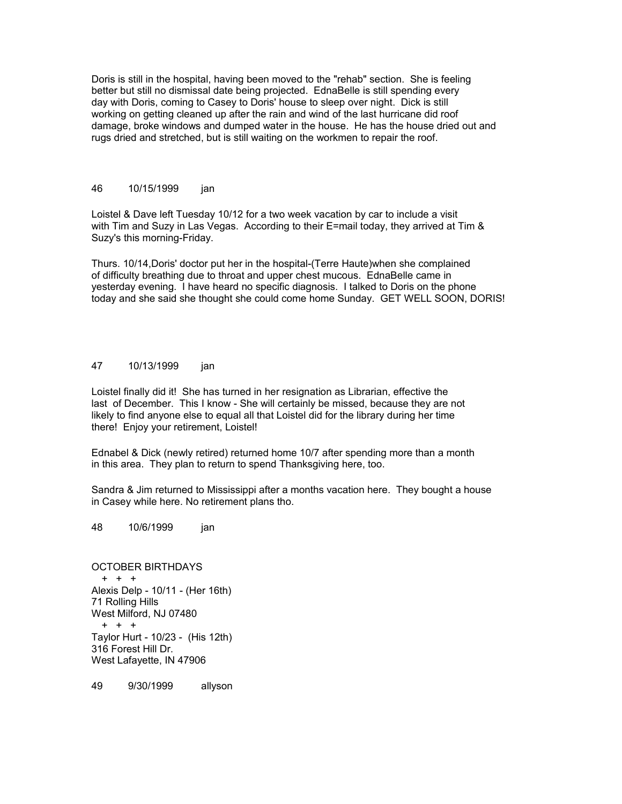Doris is still in the hospital, having been moved to the "rehab" section. She is feeling better but still no dismissal date being projected. EdnaBelle is still spending every day with Doris, coming to Casey to Doris' house to sleep over night. Dick is still working on getting cleaned up after the rain and wind of the last hurricane did roof damage, broke windows and dumped water in the house. He has the house dried out and rugs dried and stretched, but is still waiting on the workmen to repair the roof.

## 46 10/15/1999 jan

Loistel & Dave left Tuesday 10/12 for a two week vacation by car to include a visit with Tim and Suzy in Las Vegas. According to their E=mail today, they arrived at Tim & Suzy's this morning-Friday.

Thurs. 10/14,Doris' doctor put her in the hospital-(Terre Haute)when she complained of difficulty breathing due to throat and upper chest mucous. EdnaBelle came in yesterday evening. I have heard no specific diagnosis. I talked to Doris on the phone today and she said she thought she could come home Sunday. GET WELL SOON, DORIS!

#### 47 10/13/1999 jan

Loistel finally did it! She has turned in her resignation as Librarian, effective the last of December. This I know - She will certainly be missed, because they are not likely to find anyone else to equal all that Loistel did for the library during her time there! Enjoy your retirement, Loistel!

Ednabel & Dick (newly retired) returned home 10/7 after spending more than a month in this area. They plan to return to spend Thanksgiving here, too.

Sandra & Jim returned to Mississippi after a months vacation here. They bought a house in Casey while here. No retirement plans tho.

48 10/6/1999 jan

OCTOBER BIRTHDAYS + + + Alexis Delp - 10/11 - (Her 16th) 71 Rolling Hills West Milford, NJ 07480 + + + Taylor Hurt - 10/23 - (His 12th) 316 Forest Hill Dr. West Lafayette, IN 47906

49 9/30/1999 allyson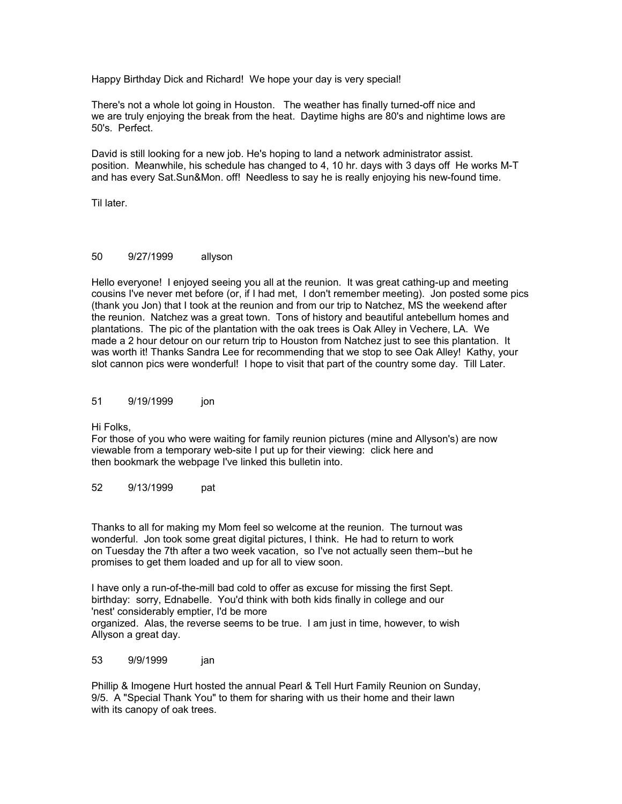Happy Birthday Dick and Richard! We hope your day is very special!

There's not a whole lot going in Houston. The weather has finally turned-off nice and we are truly enjoying the break from the heat. Daytime highs are 80's and nightime lows are 50's. Perfect.

David is still looking for a new job. He's hoping to land a network administrator assist. position. Meanwhile, his schedule has changed to 4, 10 hr. days with 3 days off He works M-T and has every Sat.Sun&Mon. off! Needless to say he is really enjoying his new-found time.

Til later.

### 50 9/27/1999 allyson

Hello everyone! I enjoyed seeing you all at the reunion. It was great cathing-up and meeting cousins I've never met before (or, if I had met, I don't remember meeting). Jon posted some pics (thank you Jon) that I took at the reunion and from our trip to Natchez, MS the weekend after the reunion. Natchez was a great town. Tons of history and beautiful antebellum homes and plantations. The pic of the plantation with the oak trees is Oak Alley in Vechere, LA. We made a 2 hour detour on our return trip to Houston from Natchez just to see this plantation. It was worth it! Thanks Sandra Lee for recommending that we stop to see Oak Alley! Kathy, your slot cannon pics were wonderful! I hope to visit that part of the country some day. Till Later.

#### 51 9/19/1999 jon

Hi Folks,

For those of you who were waiting for family reunion pictures (mine and Allyson's) are now viewable from a temporary web-site I put up for their viewing: click here and then bookmark the webpage I've linked this bulletin into.

52 9/13/1999 pat

Thanks to all for making my Mom feel so welcome at the reunion. The turnout was wonderful. Jon took some great digital pictures, I think. He had to return to work on Tuesday the 7th after a two week vacation, so I've not actually seen them--but he promises to get them loaded and up for all to view soon.

I have only a run-of-the-mill bad cold to offer as excuse for missing the first Sept. birthday: sorry, Ednabelle. You'd think with both kids finally in college and our 'nest' considerably emptier, I'd be more

organized. Alas, the reverse seems to be true. I am just in time, however, to wish Allyson a great day.

53 9/9/1999 jan

Phillip & Imogene Hurt hosted the annual Pearl & Tell Hurt Family Reunion on Sunday, 9/5. A "Special Thank You" to them for sharing with us their home and their lawn with its canopy of oak trees.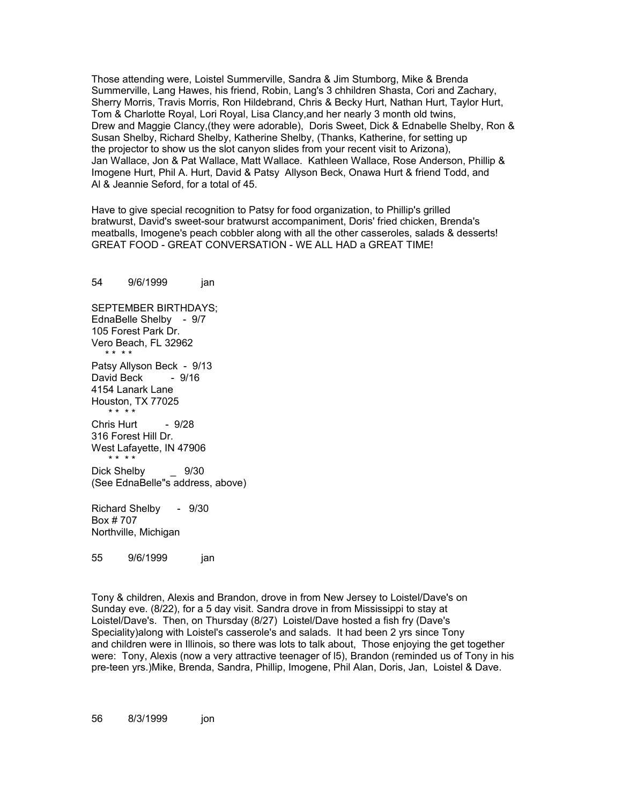Those attending were, Loistel Summerville, Sandra & Jim Stumborg, Mike & Brenda Summerville, Lang Hawes, his friend, Robin, Lang's 3 chhildren Shasta, Cori and Zachary, Sherry Morris, Travis Morris, Ron Hildebrand, Chris & Becky Hurt, Nathan Hurt, Taylor Hurt, Tom & Charlotte Royal, Lori Royal, Lisa Clancy,and her nearly 3 month old twins, Drew and Maggie Clancy,(they were adorable), Doris Sweet, Dick & Ednabelle Shelby, Ron & Susan Shelby, Richard Shelby, Katherine Shelby, (Thanks, Katherine, for setting up the projector to show us the slot canyon slides from your recent visit to Arizona), Jan Wallace, Jon & Pat Wallace, Matt Wallace. Kathleen Wallace, Rose Anderson, Phillip & Imogene Hurt, Phil A. Hurt, David & Patsy Allyson Beck, Onawa Hurt & friend Todd, and Al & Jeannie Seford, for a total of 45.

Have to give special recognition to Patsy for food organization, to Phillip's grilled bratwurst, David's sweet-sour bratwurst accompaniment, Doris' fried chicken, Brenda's meatballs, Imogene's peach cobbler along with all the other casseroles, salads & desserts! GREAT FOOD - GREAT CONVERSATION - WE ALL HAD a GREAT TIME!

54 9/6/1999 ian SEPTEMBER BIRTHDAYS; EdnaBelle Shelby - 9/7 105 Forest Park Dr. Vero Beach, FL 32962 \* \* \* \* Patsy Allyson Beck - 9/13 David Beck - 9/16 4154 Lanark Lane Houston, TX 77025 \* \* \* \* Chris Hurt - 9/28 316 Forest Hill Dr. West Lafayette, IN 47906 \* \* \* \* Dick Shelby **9/30** (See EdnaBelle"s address, above) Richard Shelby - 9/30 Box # 707 Northville, Michigan

55 9/6/1999 jan

Tony & children, Alexis and Brandon, drove in from New Jersey to Loistel/Dave's on Sunday eve. (8/22), for a 5 day visit. Sandra drove in from Mississippi to stay at Loistel/Dave's. Then, on Thursday (8/27) Loistel/Dave hosted a fish fry (Dave's Speciality)along with Loistel's casserole's and salads. It had been 2 yrs since Tony and children were in Illinois, so there was lots to talk about, Those enjoying the get together were: Tony, Alexis (now a very attractive teenager of l5), Brandon (reminded us of Tony in his pre-teen yrs.)Mike, Brenda, Sandra, Phillip, Imogene, Phil Alan, Doris, Jan, Loistel & Dave.

56 8/3/1999 jon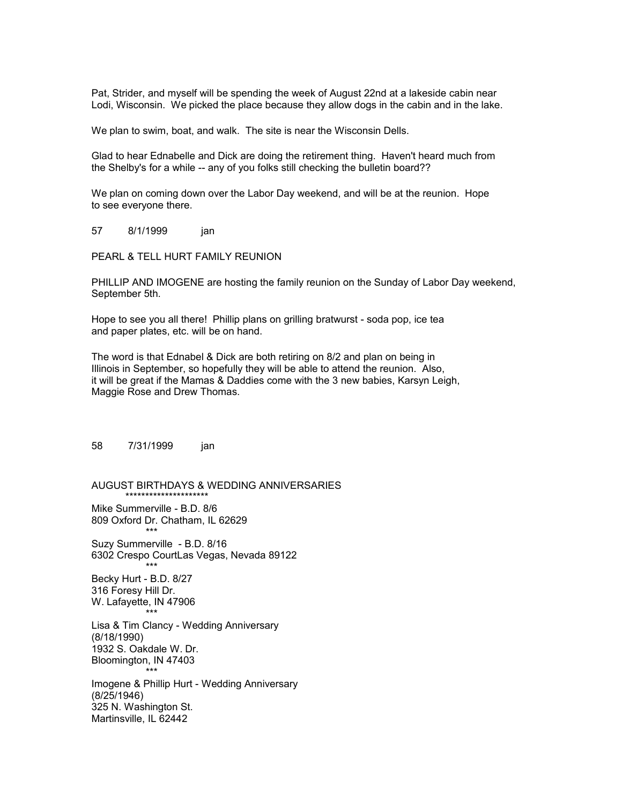Pat, Strider, and myself will be spending the week of August 22nd at a lakeside cabin near Lodi, Wisconsin. We picked the place because they allow dogs in the cabin and in the lake.

We plan to swim, boat, and walk. The site is near the Wisconsin Dells.

Glad to hear Ednabelle and Dick are doing the retirement thing. Haven't heard much from the Shelby's for a while -- any of you folks still checking the bulletin board??

We plan on coming down over the Labor Day weekend, and will be at the reunion. Hope to see everyone there.

57 8/1/1999 jan

PEARL & TELL HURT FAMILY REUNION

PHILLIP AND IMOGENE are hosting the family reunion on the Sunday of Labor Day weekend, September 5th.

Hope to see you all there! Phillip plans on grilling bratwurst - soda pop, ice tea and paper plates, etc. will be on hand.

The word is that Ednabel & Dick are both retiring on 8/2 and plan on being in Illinois in September, so hopefully they will be able to attend the reunion. Also, it will be great if the Mamas & Daddies come with the 3 new babies, Karsyn Leigh, Maggie Rose and Drew Thomas.

58 7/31/1999 jan

AUGUST BIRTHDAYS & WEDDING ANNIVERSARIES \*\*\*\*\*\*\*\*\*\*\*\*\*\*\*\*\*\*\*\*\*

Mike Summerville - B.D. 8/6 809 Oxford Dr. Chatham, IL 62629 \*\*\*

Suzy Summerville - B.D. 8/16 6302 Crespo CourtLas Vegas, Nevada 89122 \*\*\* Becky Hurt - B.D. 8/27 316 Foresy Hill Dr. W. Lafayette, IN 47906 \*\*\* Lisa & Tim Clancy - Wedding Anniversary (8/18/1990) 1932 S. Oakdale W. Dr. Bloomington, IN 47403 \*\*\* Imogene & Phillip Hurt - Wedding Anniversary (8/25/1946) 325 N. Washington St. Martinsville, IL 62442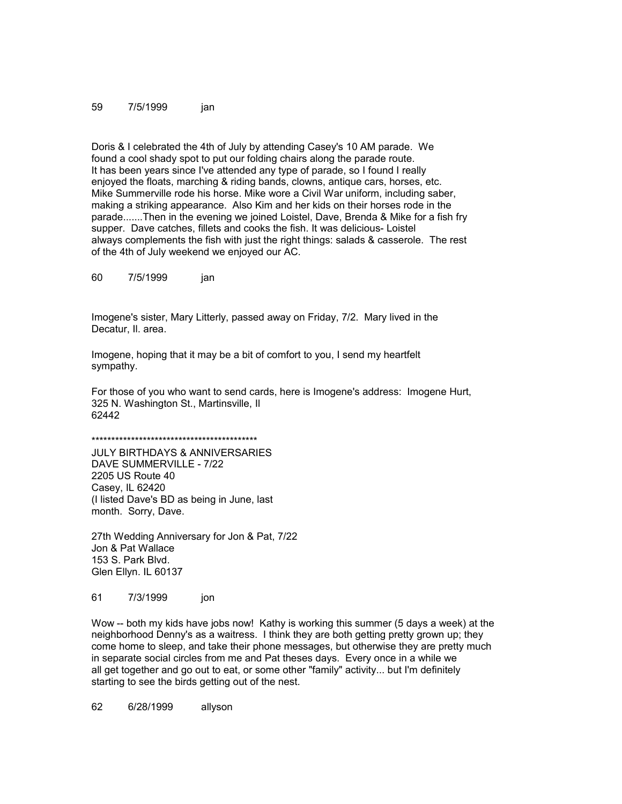#### 59 7/5/1999 jan

Doris & I celebrated the 4th of July by attending Casey's 10 AM parade. We found a cool shady spot to put our folding chairs along the parade route. It has been years since I've attended any type of parade, so I found I really enjoyed the floats, marching & riding bands, clowns, antique cars, horses, etc. Mike Summerville rode his horse. Mike wore a Civil War uniform, including saber, making a striking appearance. Also Kim and her kids on their horses rode in the parade.......Then in the evening we joined Loistel, Dave, Brenda & Mike for a fish fry supper. Dave catches, fillets and cooks the fish. It was delicious- Loistel always complements the fish with just the right things: salads & casserole. The rest of the 4th of July weekend we enjoyed our AC.

60 7/5/1999 jan

Imogene's sister, Mary Litterly, passed away on Friday, 7/2. Mary lived in the Decatur, Il. area.

Imogene, hoping that it may be a bit of comfort to you, I send my heartfelt sympathy.

For those of you who want to send cards, here is Imogene's address: Imogene Hurt, 325 N. Washington St., Martinsville, Il 62442

\*\*\*\*\*\*\*\*\*\*\*\*\*\*\*\*\*\*\*\*\*\*\*\*\*\*\*\*\*\*\*\*\*\*\*\*\*\*\*\*\*\*

JULY BIRTHDAYS & ANNIVERSARIES DAVE SUMMERVILLE - 7/22 2205 US Route 40 Casey, IL 62420 (I listed Dave's BD as being in June, last month. Sorry, Dave.

27th Wedding Anniversary for Jon & Pat, 7/22 Jon & Pat Wallace 153 S. Park Blvd. Glen Ellyn. IL 60137

61 7/3/1999 jon

Wow -- both my kids have jobs now! Kathy is working this summer (5 days a week) at the neighborhood Denny's as a waitress. I think they are both getting pretty grown up; they come home to sleep, and take their phone messages, but otherwise they are pretty much in separate social circles from me and Pat theses days. Every once in a while we all get together and go out to eat, or some other "family" activity... but I'm definitely starting to see the birds getting out of the nest.

62 6/28/1999 allyson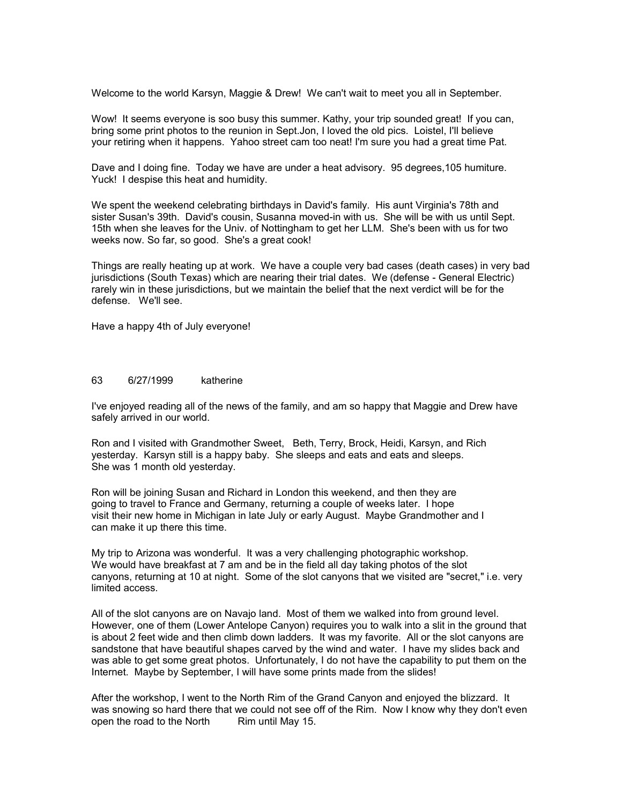Welcome to the world Karsyn, Maggie & Drew! We can't wait to meet you all in September.

Wow! It seems everyone is soo busy this summer. Kathy, your trip sounded great! If you can, bring some print photos to the reunion in Sept.Jon, I loved the old pics. Loistel, I'll believe your retiring when it happens. Yahoo street cam too neat! I'm sure you had a great time Pat.

Dave and I doing fine. Today we have are under a heat advisory. 95 degrees,105 humiture. Yuck! I despise this heat and humidity.

We spent the weekend celebrating birthdays in David's family. His aunt Virginia's 78th and sister Susan's 39th. David's cousin, Susanna moved-in with us. She will be with us until Sept. 15th when she leaves for the Univ. of Nottingham to get her LLM. She's been with us for two weeks now. So far, so good. She's a great cook!

Things are really heating up at work. We have a couple very bad cases (death cases) in very bad jurisdictions (South Texas) which are nearing their trial dates. We (defense - General Electric) rarely win in these jurisdictions, but we maintain the belief that the next verdict will be for the defense. We'll see.

Have a happy 4th of July everyone!

## 63 6/27/1999 katherine

I've enjoyed reading all of the news of the family, and am so happy that Maggie and Drew have safely arrived in our world.

Ron and I visited with Grandmother Sweet, Beth, Terry, Brock, Heidi, Karsyn, and Rich yesterday. Karsyn still is a happy baby. She sleeps and eats and eats and sleeps. She was 1 month old yesterday.

Ron will be joining Susan and Richard in London this weekend, and then they are going to travel to France and Germany, returning a couple of weeks later. I hope visit their new home in Michigan in late July or early August. Maybe Grandmother and I can make it up there this time.

My trip to Arizona was wonderful. It was a very challenging photographic workshop. We would have breakfast at 7 am and be in the field all day taking photos of the slot canyons, returning at 10 at night. Some of the slot canyons that we visited are "secret," i.e. very limited access.

All of the slot canyons are on Navajo land. Most of them we walked into from ground level. However, one of them (Lower Antelope Canyon) requires you to walk into a slit in the ground that is about 2 feet wide and then climb down ladders. It was my favorite. All or the slot canyons are sandstone that have beautiful shapes carved by the wind and water. I have my slides back and was able to get some great photos. Unfortunately, I do not have the capability to put them on the Internet. Maybe by September, I will have some prints made from the slides!

After the workshop, I went to the North Rim of the Grand Canyon and enjoyed the blizzard. It was snowing so hard there that we could not see off of the Rim. Now I know why they don't even open the road to the North Rim until May 15.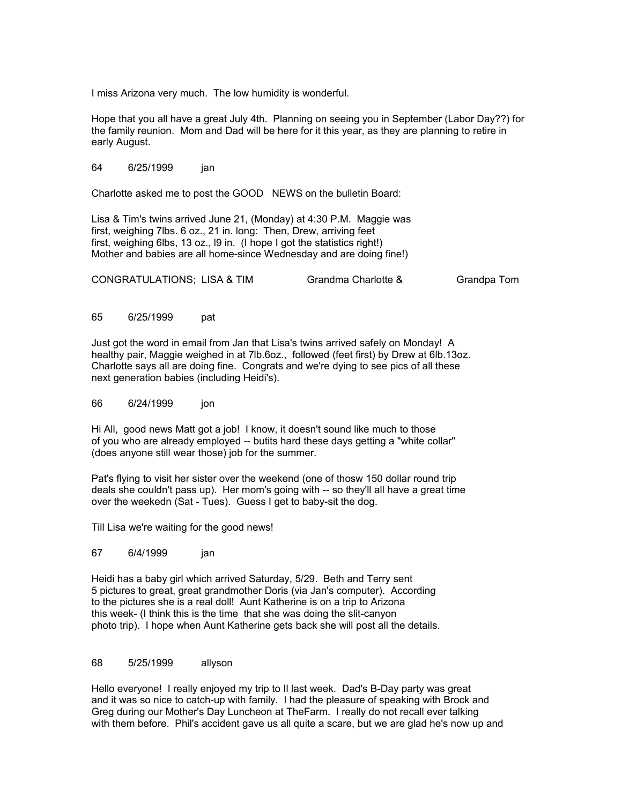I miss Arizona very much. The low humidity is wonderful.

Hope that you all have a great July 4th. Planning on seeing you in September (Labor Day??) for the family reunion. Mom and Dad will be here for it this year, as they are planning to retire in early August.

#### 64 6/25/1999 jan

Charlotte asked me to post the GOOD NEWS on the bulletin Board:

Lisa & Tim's twins arrived June 21, (Monday) at 4:30 P.M. Maggie was first, weighing 7lbs. 6 oz., 21 in. long: Then, Drew, arriving feet first, weighing 6lbs, 13 oz., l9 in. (I hope I got the statistics right!) Mother and babies are all home-since Wednesday and are doing fine!)

CONGRATULATIONS; LISA & TIM Grandma Charlotte & Grandpa Tom

65 6/25/1999 pat

Just got the word in email from Jan that Lisa's twins arrived safely on Monday! A healthy pair, Maggie weighed in at 7lb.6oz., followed (feet first) by Drew at 6lb.13oz. Charlotte says all are doing fine. Congrats and we're dying to see pics of all these next generation babies (including Heidi's).

66 6/24/1999 jon

Hi All, good news Matt got a job! I know, it doesn't sound like much to those of you who are already employed -- butits hard these days getting a "white collar" (does anyone still wear those) job for the summer.

Pat's flying to visit her sister over the weekend (one of thosw 150 dollar round trip deals she couldn't pass up). Her mom's going with -- so they'll all have a great time over the weekedn (Sat - Tues). Guess I get to baby-sit the dog.

Till Lisa we're waiting for the good news!

67 6/4/1999 jan

Heidi has a baby girl which arrived Saturday, 5/29. Beth and Terry sent 5 pictures to great, great grandmother Doris (via Jan's computer). According to the pictures she is a real doll! Aunt Katherine is on a trip to Arizona this week- (I think this is the time that she was doing the slit-canyon photo trip). I hope when Aunt Katherine gets back she will post all the details.

#### 68 5/25/1999 allyson

Hello everyone! I really enjoyed my trip to Il last week. Dad's B-Day party was great and it was so nice to catch-up with family. I had the pleasure of speaking with Brock and Greg during our Mother's Day Luncheon at TheFarm. I really do not recall ever talking with them before. Phil's accident gave us all quite a scare, but we are glad he's now up and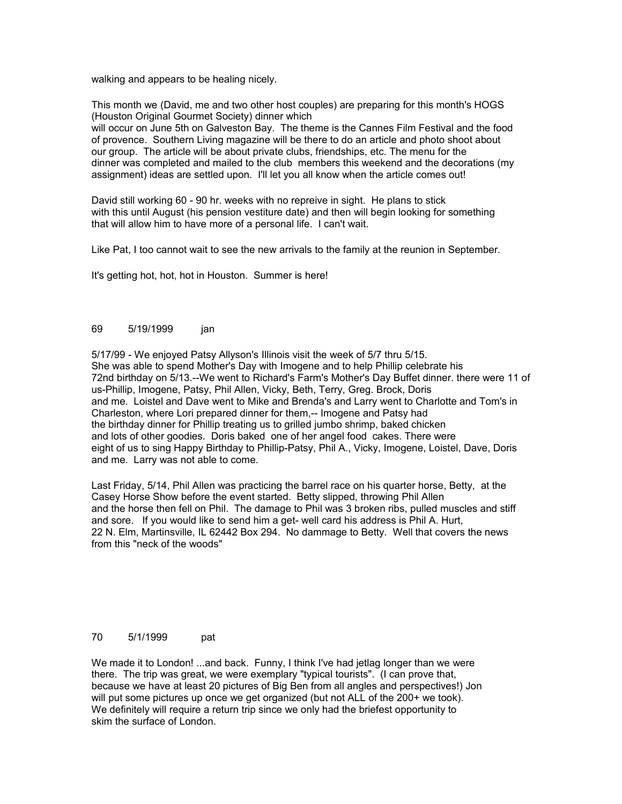walking and appears to be healing nicely.

This month we (David, me and two other host couples) are preparing for this month's HOGS (Houston Original Gourmet Society) dinner which will occur on June 5th on Galveston Bay. The theme is the Cannes Film Festival and the food of provence. Southern Living magazine will be there to do an article and photo shoot about our group. The article will be about private clubs, friendships, etc. The menu for the dinner was completed and mailed to the club members this weekend and the decorations (my assignment) ideas are settled upon. I'll let you all know when the article comes out!

David still working 60 - 90 hr. weeks with no repreive in sight. He plans to stick with this until August (his pension vestiture date) and then will begin looking for something that will allow him to have more of a personal life. I can't wait.

Like Pat, I too cannot wait to see the new arrivals to the family at the reunion in September.

It's getting hot, hot, hot in Houston. Summer is here!

## 69 5/19/1999 jan

5/17/99 - We enjoyed Patsy Allyson's Illinois visit the week of 5/7 thru 5/15. She was able to spend Mother's Day with Imogene and to help Phillip celebrate his 72nd birthday on 5/13.--We went to Richard's Farm's Mother's Day Buffet dinner. there were 11 of us-Phillip, Imogene, Patsy, Phil Allen, Vicky, Beth, Terry, Greg. Brock, Doris and me. Loistel and Dave went to Mike and Brenda's and Larry went to Charlotte and Tom's in Charleston, where Lori prepared dinner for them,-- Imogene and Patsy had the birthday dinner for Phillip treating us to grilled jumbo shrimp, baked chicken and lots of other goodies. Doris baked one of her angel food cakes. There were eight of us to sing Happy Birthday to Phillip-Patsy, Phil A., Vicky, Imogene, Loistel, Dave, Doris and me. Larry was not able to come.

Last Friday, 5/14, Phil Allen was practicing the barrel race on his quarter horse, Betty, at the Casey Horse Show before the event started. Betty slipped, throwing Phil Allen and the horse then fell on Phil. The damage to Phil was 3 broken ribs, pulled muscles and stiff and sore. If you would like to send him a get- well card his address is Phil A. Hurt, 22 N. Elm, Martinsville, IL 62442 Box 294. No dammage to Betty. Well that covers the news from this "neck of the woods"

## 70 5/1/1999 pat

We made it to London! ...and back. Funny, I think I've had jetlag longer than we were there. The trip was great, we were exemplary "typical tourists". (I can prove that, because we have at least 20 pictures of Big Ben from all angles and perspectives!) Jon will put some pictures up once we get organized (but not ALL of the 200+ we took). We definitely will require a return trip since we only had the briefest opportunity to skim the surface of London.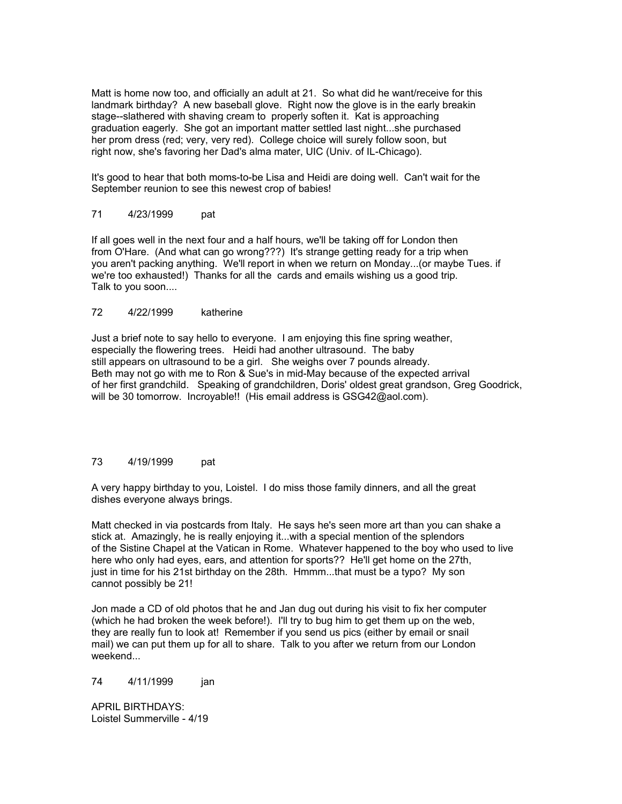Matt is home now too, and officially an adult at 21. So what did he want/receive for this landmark birthday? A new baseball glove. Right now the glove is in the early breakin stage--slathered with shaving cream to properly soften it. Kat is approaching graduation eagerly. She got an important matter settled last night...she purchased her prom dress (red; very, very red). College choice will surely follow soon, but right now, she's favoring her Dad's alma mater, UIC (Univ. of IL-Chicago).

It's good to hear that both moms-to-be Lisa and Heidi are doing well. Can't wait for the September reunion to see this newest crop of babies!

## 71 4/23/1999 pat

If all goes well in the next four and a half hours, we'll be taking off for London then from O'Hare. (And what can go wrong???) It's strange getting ready for a trip when you aren't packing anything. We'll report in when we return on Monday...(or maybe Tues. if we're too exhausted!) Thanks for all the cards and emails wishing us a good trip. Talk to you soon....

## 72 4/22/1999 katherine

Just a brief note to say hello to everyone. I am enjoying this fine spring weather, especially the flowering trees. Heidi had another ultrasound. The baby still appears on ultrasound to be a girl. She weighs over 7 pounds already. Beth may not go with me to Ron & Sue's in mid-May because of the expected arrival of her first grandchild. Speaking of grandchildren, Doris' oldest great grandson, Greg Goodrick, will be 30 tomorrow. Incroyable!! (His email address is GSG42@aol.com).

### 73 4/19/1999 pat

A very happy birthday to you, Loistel. I do miss those family dinners, and all the great dishes everyone always brings.

Matt checked in via postcards from Italy. He says he's seen more art than you can shake a stick at. Amazingly, he is really enjoying it...with a special mention of the splendors of the Sistine Chapel at the Vatican in Rome. Whatever happened to the boy who used to live here who only had eyes, ears, and attention for sports?? He'll get home on the 27th, just in time for his 21st birthday on the 28th. Hmmm...that must be a typo? My son cannot possibly be 21!

Jon made a CD of old photos that he and Jan dug out during his visit to fix her computer (which he had broken the week before!). I'll try to bug him to get them up on the web, they are really fun to look at! Remember if you send us pics (either by email or snail mail) we can put them up for all to share. Talk to you after we return from our London weekend...

74 4/11/1999 jan

APRIL BIRTHDAYS: Loistel Summerville - 4/19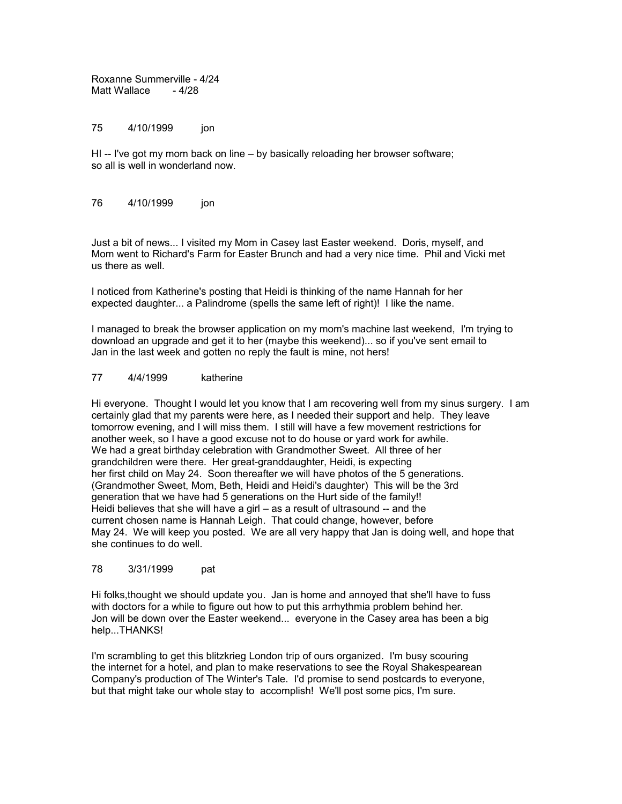Roxanne Summerville - 4/24 Matt Wallace - 4/28

75 4/10/1999 jon

HI -- I've got my mom back on line – by basically reloading her browser software; so all is well in wonderland now.

## 76 4/10/1999 jon

Just a bit of news... I visited my Mom in Casey last Easter weekend. Doris, myself, and Mom went to Richard's Farm for Easter Brunch and had a very nice time. Phil and Vicki met us there as well.

I noticed from Katherine's posting that Heidi is thinking of the name Hannah for her expected daughter... a Palindrome (spells the same left of right)! I like the name.

I managed to break the browser application on my mom's machine last weekend, I'm trying to download an upgrade and get it to her (maybe this weekend)... so if you've sent email to Jan in the last week and gotten no reply the fault is mine, not hers!

#### 77 4/4/1999 katherine

Hi everyone. Thought I would let you know that I am recovering well from my sinus surgery. I am certainly glad that my parents were here, as I needed their support and help. They leave tomorrow evening, and I will miss them. I still will have a few movement restrictions for another week, so I have a good excuse not to do house or yard work for awhile. We had a great birthday celebration with Grandmother Sweet. All three of her grandchildren were there. Her great-granddaughter, Heidi, is expecting her first child on May 24. Soon thereafter we will have photos of the 5 generations. (Grandmother Sweet, Mom, Beth, Heidi and Heidi's daughter) This will be the 3rd generation that we have had 5 generations on the Hurt side of the family!! Heidi believes that she will have a girl – as a result of ultrasound -- and the current chosen name is Hannah Leigh. That could change, however, before May 24. We will keep you posted. We are all very happy that Jan is doing well, and hope that she continues to do well.

### 78 3/31/1999 pat

Hi folks,thought we should update you. Jan is home and annoyed that she'll have to fuss with doctors for a while to figure out how to put this arrhythmia problem behind her. Jon will be down over the Easter weekend... everyone in the Casey area has been a big help...THANKS!

I'm scrambling to get this blitzkrieg London trip of ours organized. I'm busy scouring the internet for a hotel, and plan to make reservations to see the Royal Shakespearean Company's production of The Winter's Tale. I'd promise to send postcards to everyone, but that might take our whole stay to accomplish! We'll post some pics, I'm sure.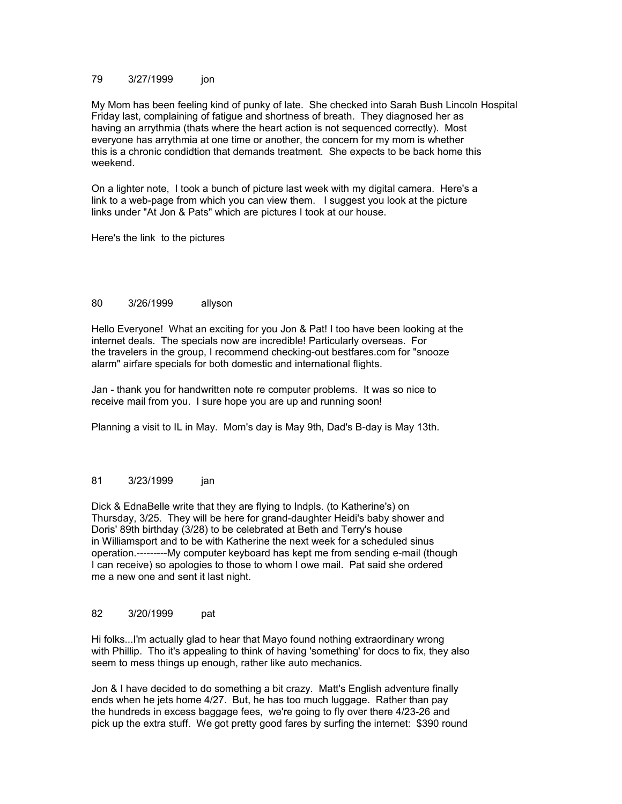## 79 3/27/1999 jon

My Mom has been feeling kind of punky of late. She checked into Sarah Bush Lincoln Hospital Friday last, complaining of fatigue and shortness of breath. They diagnosed her as having an arrythmia (thats where the heart action is not sequenced correctly). Most everyone has arrythmia at one time or another, the concern for my mom is whether this is a chronic condidtion that demands treatment. She expects to be back home this weekend.

On a lighter note, I took a bunch of picture last week with my digital camera. Here's a link to a web-page from which you can view them. I suggest you look at the picture links under "At Jon & Pats" which are pictures I took at our house.

Here's the link to the pictures

### 80 3/26/1999 allyson

Hello Everyone! What an exciting for you Jon & Pat! I too have been looking at the internet deals. The specials now are incredible! Particularly overseas. For the travelers in the group, I recommend checking-out bestfares.com for "snooze alarm" airfare specials for both domestic and international flights.

Jan - thank you for handwritten note re computer problems. It was so nice to receive mail from you. I sure hope you are up and running soon!

Planning a visit to IL in May. Mom's day is May 9th, Dad's B-day is May 13th.

## 81 3/23/1999 jan

Dick & EdnaBelle write that they are flying to Indpls. (to Katherine's) on Thursday, 3/25. They will be here for grand-daughter Heidi's baby shower and Doris' 89th birthday (3/28) to be celebrated at Beth and Terry's house in Williamsport and to be with Katherine the next week for a scheduled sinus operation.---------My computer keyboard has kept me from sending e-mail (though I can receive) so apologies to those to whom I owe mail. Pat said she ordered me a new one and sent it last night.

### 82 3/20/1999 pat

Hi folks...I'm actually glad to hear that Mayo found nothing extraordinary wrong with Phillip. Tho it's appealing to think of having 'something' for docs to fix, they also seem to mess things up enough, rather like auto mechanics.

Jon & I have decided to do something a bit crazy. Matt's English adventure finally ends when he jets home 4/27. But, he has too much luggage. Rather than pay the hundreds in excess baggage fees, we're going to fly over there 4/23-26 and pick up the extra stuff. We got pretty good fares by surfing the internet: \$390 round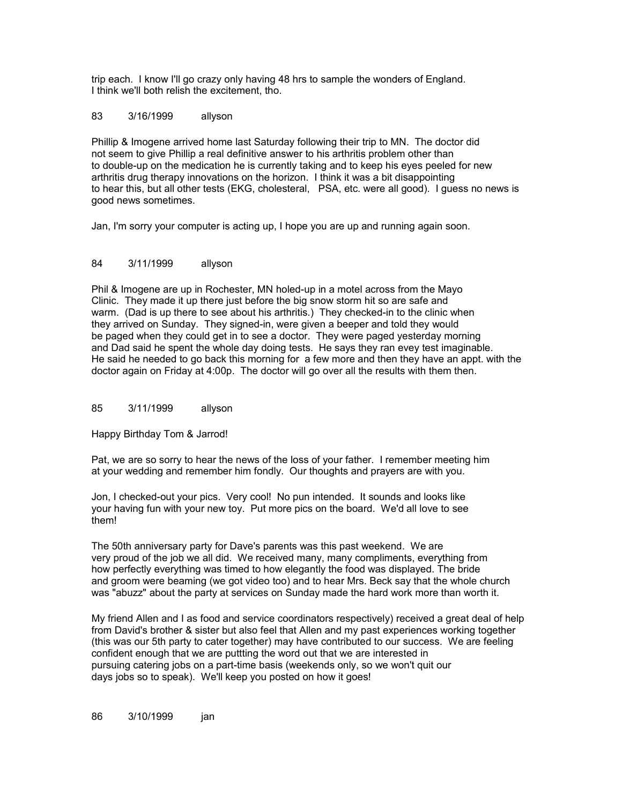trip each. I know I'll go crazy only having 48 hrs to sample the wonders of England. I think we'll both relish the excitement, tho.

## 83 3/16/1999 allyson

Phillip & Imogene arrived home last Saturday following their trip to MN. The doctor did not seem to give Phillip a real definitive answer to his arthritis problem other than to double-up on the medication he is currently taking and to keep his eyes peeled for new arthritis drug therapy innovations on the horizon. I think it was a bit disappointing to hear this, but all other tests (EKG, cholesteral, PSA, etc. were all good). I guess no news is good news sometimes.

Jan, I'm sorry your computer is acting up, I hope you are up and running again soon.

### 84 3/11/1999 allyson

Phil & Imogene are up in Rochester, MN holed-up in a motel across from the Mayo Clinic. They made it up there just before the big snow storm hit so are safe and warm. (Dad is up there to see about his arthritis.) They checked-in to the clinic when they arrived on Sunday. They signed-in, were given a beeper and told they would be paged when they could get in to see a doctor. They were paged yesterday morning and Dad said he spent the whole day doing tests. He says they ran evey test imaginable. He said he needed to go back this morning for a few more and then they have an appt. with the doctor again on Friday at 4:00p. The doctor will go over all the results with them then.

### 85 3/11/1999 allyson

Happy Birthday Tom & Jarrod!

Pat, we are so sorry to hear the news of the loss of your father. I remember meeting him at your wedding and remember him fondly. Our thoughts and prayers are with you.

Jon, I checked-out your pics. Very cool! No pun intended. It sounds and looks like your having fun with your new toy. Put more pics on the board. We'd all love to see them!

The 50th anniversary party for Dave's parents was this past weekend. We are very proud of the job we all did. We received many, many compliments, everything from how perfectly everything was timed to how elegantly the food was displayed. The bride and groom were beaming (we got video too) and to hear Mrs. Beck say that the whole church was "abuzz" about the party at services on Sunday made the hard work more than worth it.

My friend Allen and I as food and service coordinators respectively) received a great deal of help from David's brother & sister but also feel that Allen and my past experiences working together (this was our 5th party to cater together) may have contributed to our success. We are feeling confident enough that we are puttting the word out that we are interested in pursuing catering jobs on a part-time basis (weekends only, so we won't quit our days jobs so to speak). We'll keep you posted on how it goes!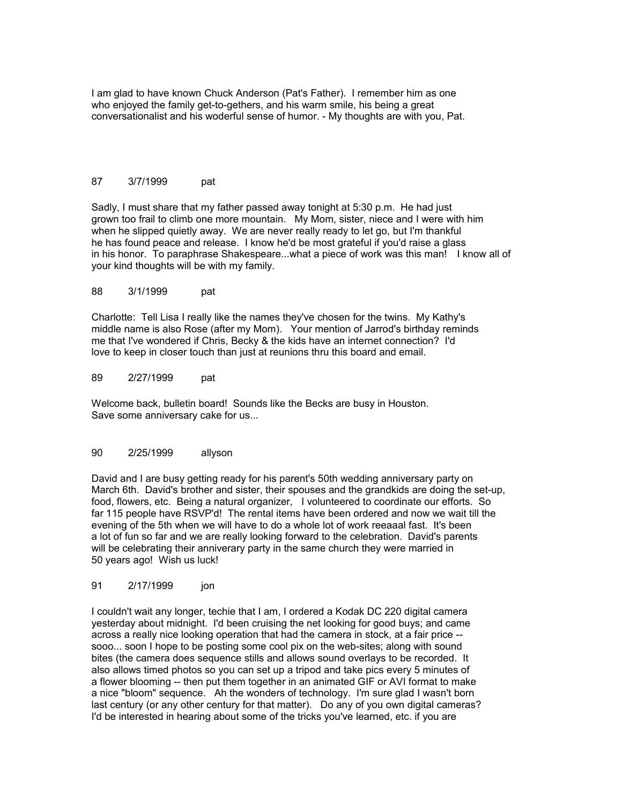I am glad to have known Chuck Anderson (Pat's Father). I remember him as one who enjoyed the family get-to-gethers, and his warm smile, his being a great conversationalist and his woderful sense of humor. - My thoughts are with you, Pat.

## 87 3/7/1999 pat

Sadly, I must share that my father passed away tonight at 5:30 p.m. He had just grown too frail to climb one more mountain. My Mom, sister, niece and I were with him when he slipped quietly away. We are never really ready to let go, but I'm thankful he has found peace and release. I know he'd be most grateful if you'd raise a glass in his honor. To paraphrase Shakespeare...what a piece of work was this man! I know all of your kind thoughts will be with my family.

#### 88 3/1/1999 pat

Charlotte: Tell Lisa I really like the names they've chosen for the twins. My Kathy's middle name is also Rose (after my Mom). Your mention of Jarrod's birthday reminds me that I've wondered if Chris, Becky & the kids have an internet connection? I'd love to keep in closer touch than just at reunions thru this board and email.

#### 89 2/27/1999 pat

Welcome back, bulletin board! Sounds like the Becks are busy in Houston. Save some anniversary cake for us...

## 90 2/25/1999 allyson

David and I are busy getting ready for his parent's 50th wedding anniversary party on March 6th. David's brother and sister, their spouses and the grandkids are doing the set-up, food, flowers, etc. Being a natural organizer, I volunteered to coordinate our efforts. So far 115 people have RSVP'd! The rental items have been ordered and now we wait till the evening of the 5th when we will have to do a whole lot of work reeaaal fast. It's been a lot of fun so far and we are really looking forward to the celebration. David's parents will be celebrating their anniverary party in the same church they were married in 50 years ago! Wish us luck!

## 91 2/17/1999 jon

I couldn't wait any longer, techie that I am, I ordered a Kodak DC 220 digital camera yesterday about midnight. I'd been cruising the net looking for good buys; and came across a really nice looking operation that had the camera in stock, at a fair price - sooo... soon I hope to be posting some cool pix on the web-sites; along with sound bites (the camera does sequence stills and allows sound overlays to be recorded. It also allows timed photos so you can set up a tripod and take pics every 5 minutes of a flower blooming -- then put them together in an animated GIF or AVI format to make a nice "bloom" sequence. Ah the wonders of technology. I'm sure glad I wasn't born last century (or any other century for that matter). Do any of you own digital cameras? I'd be interested in hearing about some of the tricks you've learned, etc. if you are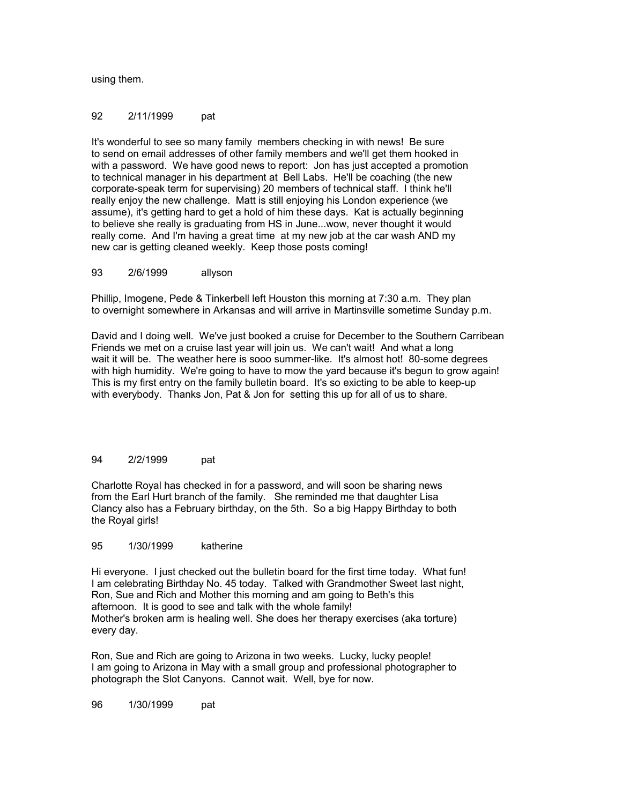using them.

### 92 2/11/1999 pat

It's wonderful to see so many family members checking in with news! Be sure to send on email addresses of other family members and we'll get them hooked in with a password. We have good news to report: Jon has just accepted a promotion to technical manager in his department at Bell Labs. He'll be coaching (the new corporate-speak term for supervising) 20 members of technical staff. I think he'll really enjoy the new challenge. Matt is still enjoying his London experience (we assume), it's getting hard to get a hold of him these days. Kat is actually beginning to believe she really is graduating from HS in June...wow, never thought it would really come. And I'm having a great time at my new job at the car wash AND my new car is getting cleaned weekly. Keep those posts coming!

93 2/6/1999 allyson

Phillip, Imogene, Pede & Tinkerbell left Houston this morning at 7:30 a.m. They plan to overnight somewhere in Arkansas and will arrive in Martinsville sometime Sunday p.m.

David and I doing well. We've just booked a cruise for December to the Southern Carribean Friends we met on a cruise last year will join us. We can't wait! And what a long wait it will be. The weather here is sooo summer-like. It's almost hot! 80-some degrees with high humidity. We're going to have to mow the yard because it's begun to grow again! This is my first entry on the family bulletin board. It's so exicting to be able to keep-up with everybody. Thanks Jon, Pat & Jon for setting this up for all of us to share.

### 94 2/2/1999 pat

Charlotte Royal has checked in for a password, and will soon be sharing news from the Earl Hurt branch of the family. She reminded me that daughter Lisa Clancy also has a February birthday, on the 5th. So a big Happy Birthday to both the Royal girls!

#### 95 1/30/1999 katherine

Hi everyone. I just checked out the bulletin board for the first time today. What fun! I am celebrating Birthday No. 45 today. Talked with Grandmother Sweet last night, Ron, Sue and Rich and Mother this morning and am going to Beth's this afternoon. It is good to see and talk with the whole family! Mother's broken arm is healing well. She does her therapy exercises (aka torture) every day.

Ron, Sue and Rich are going to Arizona in two weeks. Lucky, lucky people! I am going to Arizona in May with a small group and professional photographer to photograph the Slot Canyons. Cannot wait. Well, bye for now.

96 1/30/1999 pat